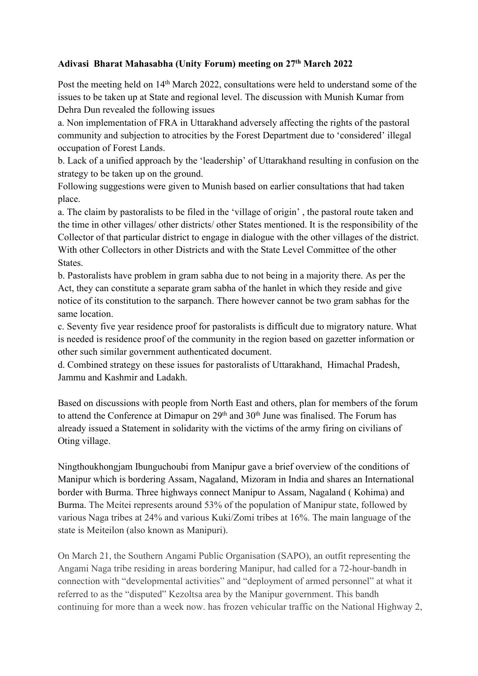## **Adivasi Bharat Mahasabha (Unity Forum) meeting on 27 th March 2022**

Post the meeting held on 14<sup>th</sup> March 2022, consultations were held to understand some of the issues to be taken up at State and regional level. The discussion with Munish Kumar from Dehra Dun revealed the following issues

a. Non implementation of FRA in Uttarakhand adversely affecting the rights of the pastoral community and subjection to atrocities by the Forest Department due to 'considered' illegal occupation of Forest Lands.

b. Lack of a unified approach by the 'leadership' of Uttarakhand resulting in confusion on the

strategy to be taken up on the ground.<br>Following suggestions were given to Munish based on earlier consultations that had taken place.

a. The claim by pastoralists to be filed in the 'village of origin' , the pastoral route taken and the time in other villages/ other districts/ other States mentioned. It is the responsibility of the Collector of that particular district to engage in dialogue with the other villages of the district. With other Collectors in other Districts and with the State Level Committee of the other States.

b. Pastoralists have problem in gram sabha due tonot being in a majority there. As per the Act, they can constitute a separate gram sabha of the hanlet in which they reside and give notice of its constitution to the sarpanch. There however cannot be two gram sabhas for the same location.<br>c. Seventy five year residence proof for pastoralists is difficult due to migratory nature. What

is needed is residence proof of the community in the region based on gazetter information or other such similar government authenticated document.

d. Combined strategy on these issues for pastoralists of Uttarakhand, Himachal Pradesh, Jammu and Kashmir and Ladakh.

Based on discussions with people from North East and others, plan for members of the forum to attend the Conference at Dimapur on 29<sup>th</sup> and 30<sup>th</sup> June was finalised. The Forum has already issued a Statement in solidarity with the victims of the army firing on civilians of Oting village.

Ningthoukhongjam Ibunguchoubi from Manipur gave a brief overview of the conditions of Manipur which is bordering Assam, Nagaland, Mizoram in India and shares an International border with Burma. Three highways connect Manipur to Assam, Nagaland ( Kohima) and Burma. The Meitei represents around 53% of the population of Manipur state, followed by various Naga tribes at 24% and various Kuki/Zomi tribes at 16%. The main language of the state is Meiteilon (also known as Manipuri).

On March 21, the Southern Angami Public Organisation (SAPO), an outfit representing the Angami Naga tribe residing in areas bordering Manipur, had called for a 72-hour-bandh in connection with "developmental activities" and "deployment of armed personnel" at what it referred to asthe "disputed" Kezoltsa area by the Manipur government. This bandh continuing for more than a week now. has frozen vehicular traffic on the National Highway 2,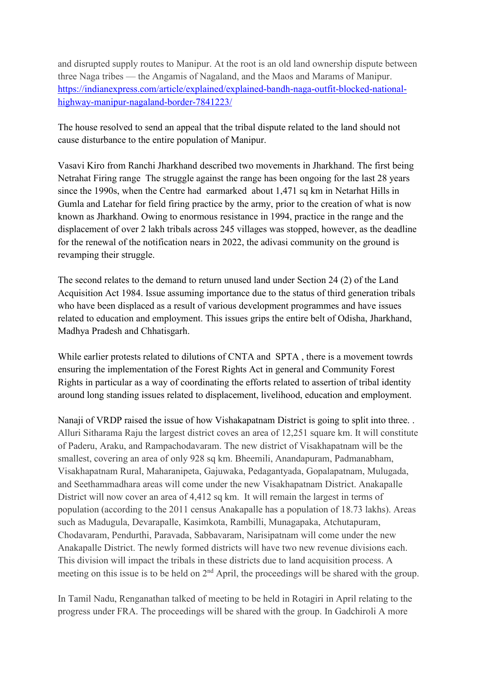and disrupted supply routes to Manipur. At the root is an old land ownership dispute between three Naga tribes — the Angamis of Nagaland, and the Maos and Marams of Manipur. [https://indianexpress.com/article/explained/explained-bandh-naga-outfit-blocked-national](https://indianexpress.com/article/explained/explained-bandh-naga-outfit-blocked-national-highway-manipur-nagaland-border-7841223/) highway-manipur-nagaland-border-7841223/

The house resolved to send an appeal that the tribal dispute related to the land should not cause disturbance to the entire population of Manipur.

Vasavi Kiro from Ranchi Jharkhand described two movements in Jharkhand. The first being Netrahat Firing range The struggle against the range has been ongoing for the last 28 years since the 1990s, when the Centre had [earmarked](https://timesofindia.indiatimes.com/city/ranchi/tribals-on-warpath-protest-against-netarhat-firing-range/articleshow/58522649.cms) about 1,471 sq km in [Netarhat](http://www.allowcopy.com/open/?url=https:\/\/timesofindia.indiatimes.com\/topic\/Netarhat-Hills-in-Gumla-and-Latehar) Hills in Gumla and Latehar for field firing [practice](http://www.allowcopy.com/open/?url=https:\/\/timesofindia.indiatimes.com\/topic\/field-firing-practice) by the army, prior to the creation of what is now known as Jharkhand. Owing to enormous resistance in 1994, practice in the range and the displacement of over 2 lakh tribals across 245 villages was stopped, however, as the deadline for the renewal of the notification nears in 2022, the adivasi community on the ground is revamping their struggle.

The second relates to the demand to return unused land under Section 24 (2) of the Land Acquisition Act 1984. Issue assuming importance due to the status of third generation tribals who have been displaced as a result of various development programmes and have issues related to education and employment. This issues grips the entire belt of Odisha, Jharkhand, Madhya Pradesh and Chhatisgarh.

While earlier protests related to dilutions of CNTA and SPTA, there is a movement towrds ensuring the implementation of the Forest Rights Act in general and Community Forest Rights in particular as a way of coordinating the efforts related to assertion of tribal identity around long standing issues related to displacement, livelihood, education and employment.

Nanaji of VRDP raised the issue of how Vishakapatnam District is going to split into three... Alluri Sitharama Raju the largest district coves an area of 12,251 square km. It will constitute of Paderu, Araku, and Rampachodavaram. The new district of Visakhapatnam will be the smallest, covering an area of only 928 sq km. Bheemili, Anandapuram, Padmanabham, Visakhapatnam Rural, Maharanipeta, Gajuwaka, Pedagantyada, Gopalapatnam, Mulugada, and Seethammadhara areas will come under the new Visakhapatnam District. Anakapalle District will now cover an area of 4,412 sq km. It will remain the largest in terms of population (according to the 2011 census Anakapalle has a population of 18.73 lakhs). Areas such as Madugula, Devarapalle, Kasimkota, Rambilli, Munagapaka, Atchutapuram, Chodavaram, Pendurthi, Paravada, Sabbavaram, Narisipatnam will come under the new Anakapalle District. The newly formed districts will have two new revenue divisions each. This division will impact the tribals in these districts due to land acquisition process. A meeting on this issue is to be held on 2<sup>nd</sup> April, the proceedings will be shared with the group.

In Tamil Nadu, Renganathan talked of meeting to be held in Rotagiri in April relating to the progress under FRA. The proceedings will be shared with the group. In Gadchiroli A more